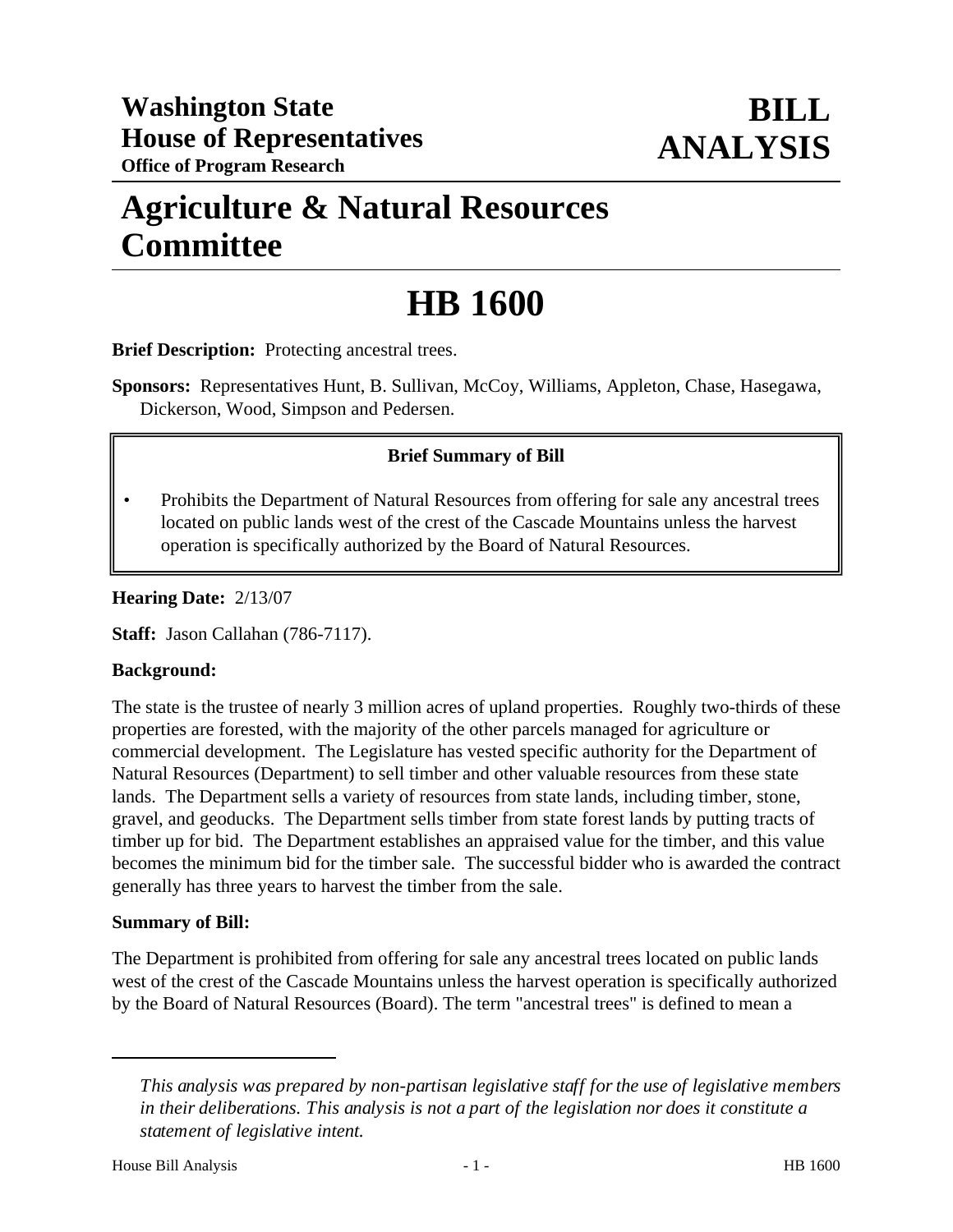## **Agriculture & Natural Resources Committee**

# **HB 1600**

**Brief Description:** Protecting ancestral trees.

**Sponsors:** Representatives Hunt, B. Sullivan, McCoy, Williams, Appleton, Chase, Hasegawa, Dickerson, Wood, Simpson and Pedersen.

### **Brief Summary of Bill**

• Prohibits the Department of Natural Resources from offering for sale any ancestral trees located on public lands west of the crest of the Cascade Mountains unless the harvest operation is specifically authorized by the Board of Natural Resources.

#### **Hearing Date:** 2/13/07

**Staff:** Jason Callahan (786-7117).

#### **Background:**

The state is the trustee of nearly 3 million acres of upland properties. Roughly two-thirds of these properties are forested, with the majority of the other parcels managed for agriculture or commercial development. The Legislature has vested specific authority for the Department of Natural Resources (Department) to sell timber and other valuable resources from these state lands. The Department sells a variety of resources from state lands, including timber, stone, gravel, and geoducks. The Department sells timber from state forest lands by putting tracts of timber up for bid. The Department establishes an appraised value for the timber, and this value becomes the minimum bid for the timber sale. The successful bidder who is awarded the contract generally has three years to harvest the timber from the sale.

#### **Summary of Bill:**

The Department is prohibited from offering for sale any ancestral trees located on public lands west of the crest of the Cascade Mountains unless the harvest operation is specifically authorized by the Board of Natural Resources (Board). The term "ancestral trees" is defined to mean a

*This analysis was prepared by non-partisan legislative staff for the use of legislative members in their deliberations. This analysis is not a part of the legislation nor does it constitute a statement of legislative intent.*